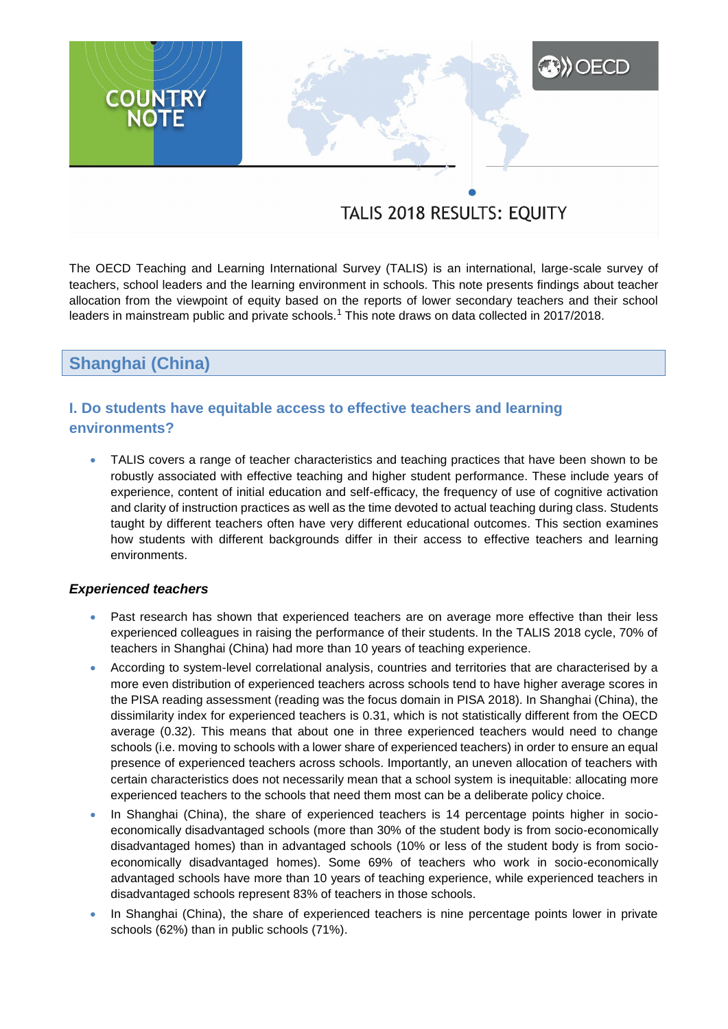# **A) OECD COUNTRY**

# TALIS 2018 RESULTS: EQUITY

The OECD Teaching and Learning International Survey (TALIS) is an international, large-scale survey of teachers, school leaders and the learning environment in schools. This note presents findings about teacher allocation from the viewpoint of equity based on the reports of lower secondary teachers and their school leaders in mainstream public and private schools.<sup>1</sup> This note draws on data collected in 2017/2018.

**Shanghai (China)**

# **I. Do students have equitable access to effective teachers and learning environments?**

 TALIS covers a range of teacher characteristics and teaching practices that have been shown to be robustly associated with effective teaching and higher student performance. These include years of experience, content of initial education and self-efficacy, the frequency of use of cognitive activation and clarity of instruction practices as well as the time devoted to actual teaching during class. Students taught by different teachers often have very different educational outcomes. This section examines how students with different backgrounds differ in their access to effective teachers and learning environments.

# *Experienced teachers*

- Past research has shown that experienced teachers are on average more effective than their less experienced colleagues in raising the performance of their students. In the TALIS 2018 cycle, 70% of teachers in Shanghai (China) had more than 10 years of teaching experience.
- According to system-level correlational analysis, countries and territories that are characterised by a more even distribution of experienced teachers across schools tend to have higher average scores in the PISA reading assessment (reading was the focus domain in PISA 2018). In Shanghai (China), the dissimilarity index for experienced teachers is 0.31, which is not statistically different from the OECD average (0.32). This means that about one in three experienced teachers would need to change schools (i.e. moving to schools with a lower share of experienced teachers) in order to ensure an equal presence of experienced teachers across schools. Importantly, an uneven allocation of teachers with certain characteristics does not necessarily mean that a school system is inequitable: allocating more experienced teachers to the schools that need them most can be a deliberate policy choice.
- In Shanghai (China), the share of experienced teachers is 14 percentage points higher in socioeconomically disadvantaged schools (more than 30% of the student body is from socio-economically disadvantaged homes) than in advantaged schools (10% or less of the student body is from socioeconomically disadvantaged homes). Some 69% of teachers who work in socio-economically advantaged schools have more than 10 years of teaching experience, while experienced teachers in disadvantaged schools represent 83% of teachers in those schools.
- In Shanghai (China), the share of experienced teachers is nine percentage points lower in private schools (62%) than in public schools (71%).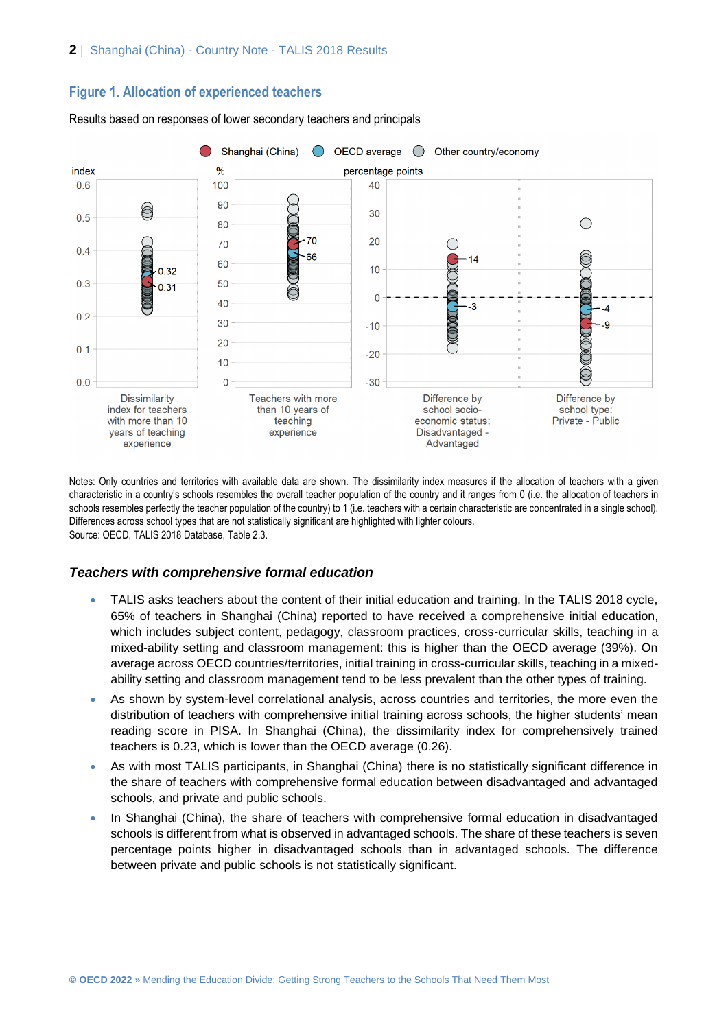# **Figure 1. Allocation of experienced teachers**



Results based on responses of lower secondary teachers and principals

Notes: Only countries and territories with available data are shown. The dissimilarity index measures if the allocation of teachers with a given characteristic in a country's schools resembles the overall teacher population of the country and it ranges from 0 (i.e. the allocation of teachers in schools resembles perfectly the teacher population of the country) to 1 (i.e. teachers with a certain characteristic are concentrated in a single school). Differences across school types that are not statistically significant are highlighted with lighter colours. Source: OECD, TALIS 2018 Database, Table 2.3.

# *Teachers with comprehensive formal education*

- TALIS asks teachers about the content of their initial education and training. In the TALIS 2018 cycle, 65% of teachers in Shanghai (China) reported to have received a comprehensive initial education, which includes subject content, pedagogy, classroom practices, cross-curricular skills, teaching in a mixed-ability setting and classroom management: this is higher than the OECD average (39%). On average across OECD countries/territories, initial training in cross-curricular skills, teaching in a mixedability setting and classroom management tend to be less prevalent than the other types of training.
- As shown by system-level correlational analysis, across countries and territories, the more even the distribution of teachers with comprehensive initial training across schools, the higher students' mean reading score in PISA. In Shanghai (China), the dissimilarity index for comprehensively trained teachers is 0.23, which is lower than the OECD average (0.26).
- As with most TALIS participants, in Shanghai (China) there is no statistically significant difference in the share of teachers with comprehensive formal education between disadvantaged and advantaged schools, and private and public schools.
- In Shanghai (China), the share of teachers with comprehensive formal education in disadvantaged schools is different from what is observed in advantaged schools. The share of these teachers is seven percentage points higher in disadvantaged schools than in advantaged schools. The difference between private and public schools is not statistically significant.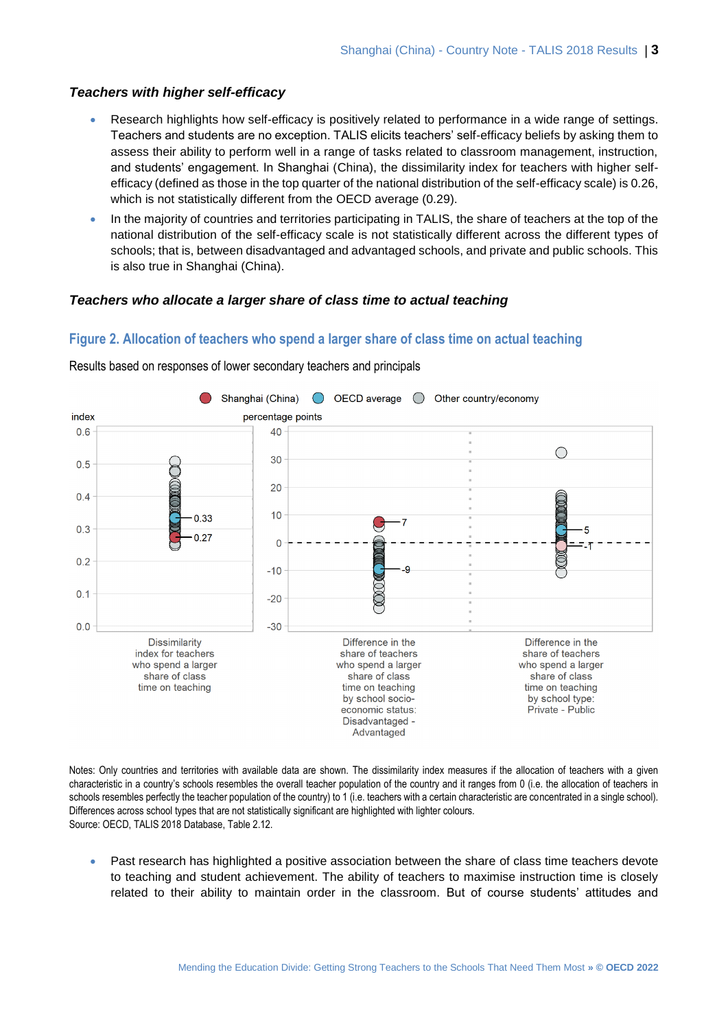# *Teachers with higher self-efficacy*

- Research highlights how self-efficacy is positively related to performance in a wide range of settings. Teachers and students are no exception. TALIS elicits teachers' self-efficacy beliefs by asking them to assess their ability to perform well in a range of tasks related to classroom management, instruction, and students' engagement. In Shanghai (China), the dissimilarity index for teachers with higher selfefficacy (defined as those in the top quarter of the national distribution of the self-efficacy scale) is 0.26, which is not statistically different from the OECD average (0.29).
- In the majority of countries and territories participating in TALIS, the share of teachers at the top of the national distribution of the self-efficacy scale is not statistically different across the different types of schools; that is, between disadvantaged and advantaged schools, and private and public schools. This is also true in Shanghai (China).

# *Teachers who allocate a larger share of class time to actual teaching*

# **Figure 2. Allocation of teachers who spend a larger share of class time on actual teaching**



Results based on responses of lower secondary teachers and principals

Notes: Only countries and territories with available data are shown. The dissimilarity index measures if the allocation of teachers with a given characteristic in a country's schools resembles the overall teacher population of the country and it ranges from 0 (i.e. the allocation of teachers in schools resembles perfectly the teacher population of the country) to 1 (i.e. teachers with a certain characteristic are concentrated in a single school). Differences across school types that are not statistically significant are highlighted with lighter colours. Source: OECD, TALIS 2018 Database, Table 2.12.

• Past research has highlighted a positive association between the share of class time teachers devote to teaching and student achievement. The ability of teachers to maximise instruction time is closely related to their ability to maintain order in the classroom. But of course students' attitudes and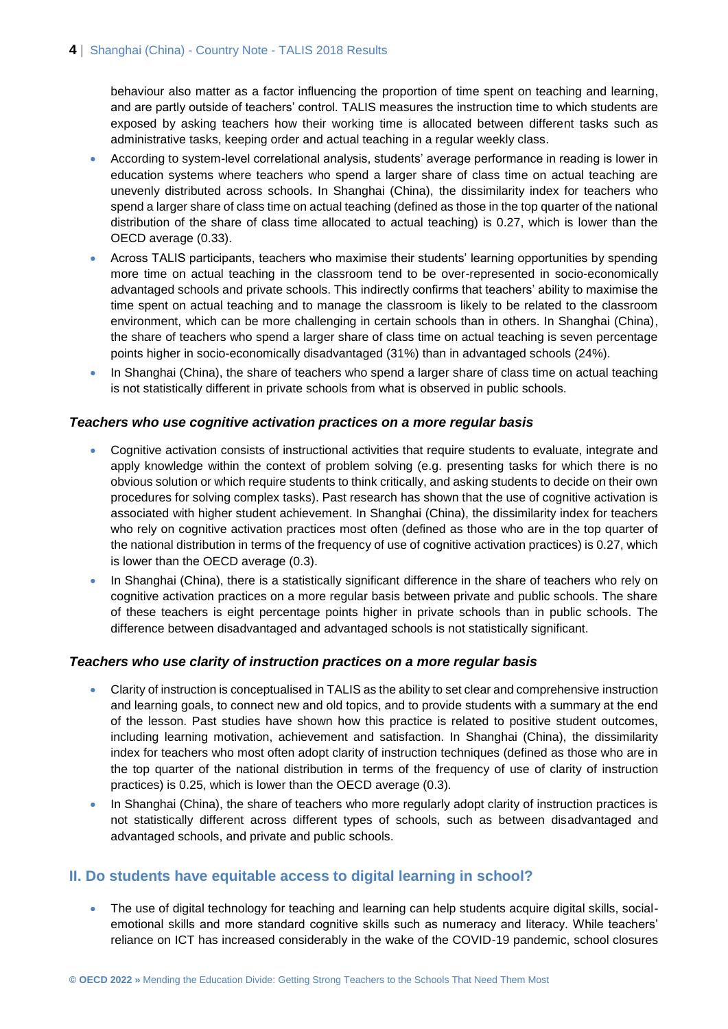# 4 | Shanghai (China) - Country Note - TALIS 2018 Results

behaviour also matter as a factor influencing the proportion of time spent on teaching and learning, and are partly outside of teachers' control. TALIS measures the instruction time to which students are exposed by asking teachers how their working time is allocated between different tasks such as administrative tasks, keeping order and actual teaching in a regular weekly class.

- According to system-level correlational analysis, students' average performance in reading is lower in education systems where teachers who spend a larger share of class time on actual teaching are unevenly distributed across schools. In Shanghai (China), the dissimilarity index for teachers who spend a larger share of class time on actual teaching (defined as those in the top quarter of the national distribution of the share of class time allocated to actual teaching) is 0.27, which is lower than the OECD average (0.33).
- Across TALIS participants, teachers who maximise their students' learning opportunities by spending more time on actual teaching in the classroom tend to be over-represented in socio-economically advantaged schools and private schools. This indirectly confirms that teachers' ability to maximise the time spent on actual teaching and to manage the classroom is likely to be related to the classroom environment, which can be more challenging in certain schools than in others. In Shanghai (China), the share of teachers who spend a larger share of class time on actual teaching is seven percentage points higher in socio-economically disadvantaged (31%) than in advantaged schools (24%).
- In Shanghai (China), the share of teachers who spend a larger share of class time on actual teaching is not statistically different in private schools from what is observed in public schools.

# *Teachers who use cognitive activation practices on a more regular basis*

- Cognitive activation consists of instructional activities that require students to evaluate, integrate and apply knowledge within the context of problem solving (e.g. presenting tasks for which there is no obvious solution or which require students to think critically, and asking students to decide on their own procedures for solving complex tasks). Past research has shown that the use of cognitive activation is associated with higher student achievement. In Shanghai (China), the dissimilarity index for teachers who rely on cognitive activation practices most often (defined as those who are in the top quarter of the national distribution in terms of the frequency of use of cognitive activation practices) is 0.27, which is lower than the OECD average (0.3).
- In Shanghai (China), there is a statistically significant difference in the share of teachers who rely on cognitive activation practices on a more regular basis between private and public schools. The share of these teachers is eight percentage points higher in private schools than in public schools. The difference between disadvantaged and advantaged schools is not statistically significant.

#### *Teachers who use clarity of instruction practices on a more regular basis*

- Clarity of instruction is conceptualised in TALIS as the ability to set clear and comprehensive instruction and learning goals, to connect new and old topics, and to provide students with a summary at the end of the lesson. Past studies have shown how this practice is related to positive student outcomes, including learning motivation, achievement and satisfaction. In Shanghai (China), the dissimilarity index for teachers who most often adopt clarity of instruction techniques (defined as those who are in the top quarter of the national distribution in terms of the frequency of use of clarity of instruction practices) is 0.25, which is lower than the OECD average (0.3).
- In Shanghai (China), the share of teachers who more regularly adopt clarity of instruction practices is not statistically different across different types of schools, such as between disadvantaged and advantaged schools, and private and public schools.

# **II. Do students have equitable access to digital learning in school?**

• The use of digital technology for teaching and learning can help students acquire digital skills, socialemotional skills and more standard cognitive skills such as numeracy and literacy. While teachers' reliance on ICT has increased considerably in the wake of the COVID-19 pandemic, school closures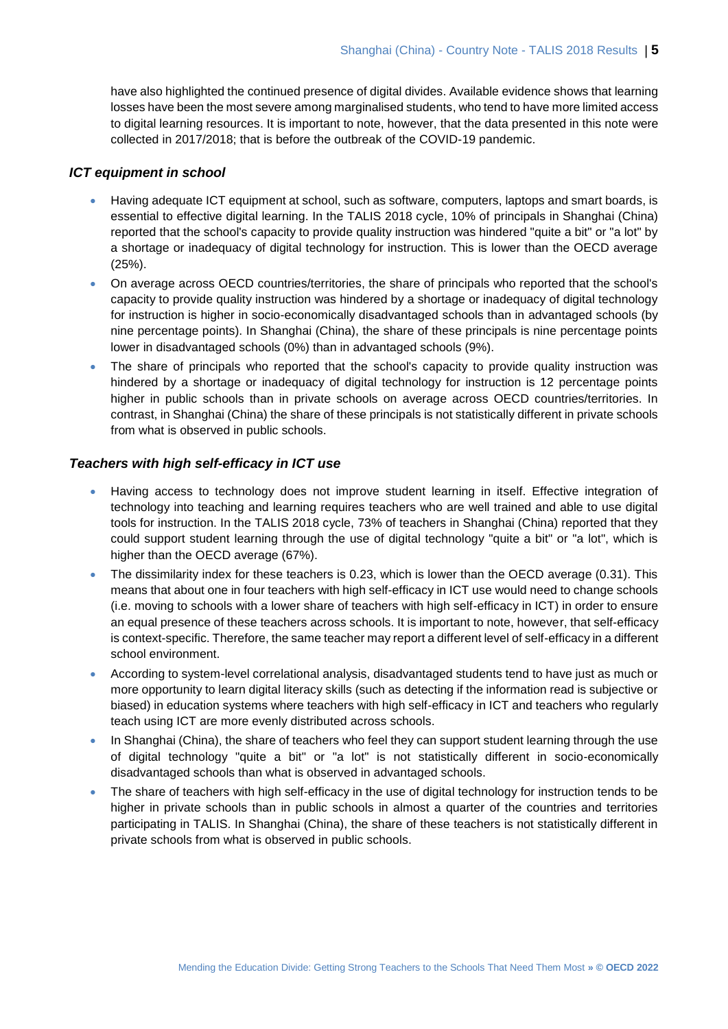have also highlighted the continued presence of digital divides. Available evidence shows that learning losses have been the most severe among marginalised students, who tend to have more limited access to digital learning resources. It is important to note, however, that the data presented in this note were collected in 2017/2018; that is before the outbreak of the COVID-19 pandemic.

# *ICT equipment in school*

- Having adequate ICT equipment at school, such as software, computers, laptops and smart boards, is essential to effective digital learning. In the TALIS 2018 cycle, 10% of principals in Shanghai (China) reported that the school's capacity to provide quality instruction was hindered "quite a bit" or "a lot" by a shortage or inadequacy of digital technology for instruction. This is lower than the OECD average (25%).
- On average across OECD countries/territories, the share of principals who reported that the school's capacity to provide quality instruction was hindered by a shortage or inadequacy of digital technology for instruction is higher in socio-economically disadvantaged schools than in advantaged schools (by nine percentage points). In Shanghai (China), the share of these principals is nine percentage points lower in disadvantaged schools (0%) than in advantaged schools (9%).
- The share of principals who reported that the school's capacity to provide quality instruction was hindered by a shortage or inadequacy of digital technology for instruction is 12 percentage points higher in public schools than in private schools on average across OECD countries/territories. In contrast, in Shanghai (China) the share of these principals is not statistically different in private schools from what is observed in public schools.

# *Teachers with high self-efficacy in ICT use*

- Having access to technology does not improve student learning in itself. Effective integration of technology into teaching and learning requires teachers who are well trained and able to use digital tools for instruction. In the TALIS 2018 cycle, 73% of teachers in Shanghai (China) reported that they could support student learning through the use of digital technology "quite a bit" or "a lot", which is higher than the OECD average (67%).
- The dissimilarity index for these teachers is 0.23, which is lower than the OECD average (0.31). This means that about one in four teachers with high self-efficacy in ICT use would need to change schools (i.e. moving to schools with a lower share of teachers with high self-efficacy in ICT) in order to ensure an equal presence of these teachers across schools. It is important to note, however, that self-efficacy is context-specific. Therefore, the same teacher may report a different level of self-efficacy in a different school environment.
- According to system-level correlational analysis, disadvantaged students tend to have just as much or more opportunity to learn digital literacy skills (such as detecting if the information read is subjective or biased) in education systems where teachers with high self-efficacy in ICT and teachers who regularly teach using ICT are more evenly distributed across schools.
- In Shanghai (China), the share of teachers who feel they can support student learning through the use of digital technology "quite a bit" or "a lot" is not statistically different in socio-economically disadvantaged schools than what is observed in advantaged schools.
- The share of teachers with high self-efficacy in the use of digital technology for instruction tends to be higher in private schools than in public schools in almost a quarter of the countries and territories participating in TALIS. In Shanghai (China), the share of these teachers is not statistically different in private schools from what is observed in public schools.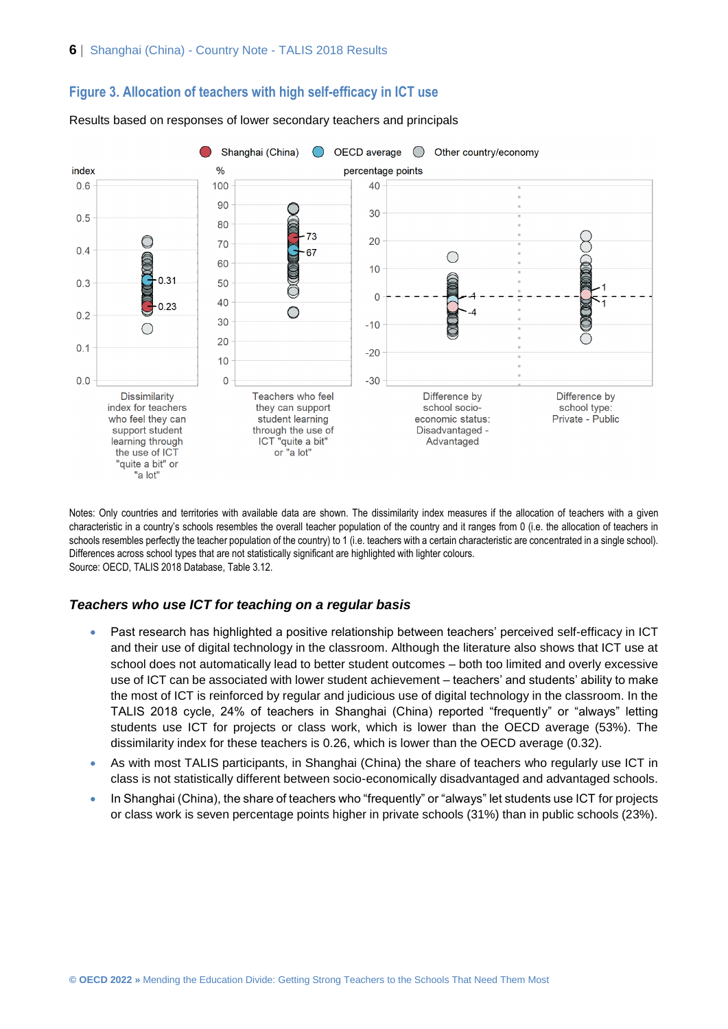

# **Figure 3. Allocation of teachers with high self-efficacy in ICT use**

Results based on responses of lower secondary teachers and principals

Notes: Only countries and territories with available data are shown. The dissimilarity index measures if the allocation of teachers with a given characteristic in a country's schools resembles the overall teacher population of the country and it ranges from 0 (i.e. the allocation of teachers in schools resembles perfectly the teacher population of the country) to 1 (i.e. teachers with a certain characteristic are concentrated in a single school). Differences across school types that are not statistically significant are highlighted with lighter colours. Source: OECD, TALIS 2018 Database, Table 3.12.

# *Teachers who use ICT for teaching on a regular basis*

- Past research has highlighted a positive relationship between teachers' perceived self-efficacy in ICT and their use of digital technology in the classroom. Although the literature also shows that ICT use at school does not automatically lead to better student outcomes – both too limited and overly excessive use of ICT can be associated with lower student achievement – teachers' and students' ability to make the most of ICT is reinforced by regular and judicious use of digital technology in the classroom. In the TALIS 2018 cycle, 24% of teachers in Shanghai (China) reported "frequently" or "always" letting students use ICT for projects or class work, which is lower than the OECD average (53%). The dissimilarity index for these teachers is 0.26, which is lower than the OECD average (0.32).
- As with most TALIS participants, in Shanghai (China) the share of teachers who regularly use ICT in class is not statistically different between socio-economically disadvantaged and advantaged schools.
- In Shanghai (China), the share of teachers who "frequently" or "always" let students use ICT for projects or class work is seven percentage points higher in private schools (31%) than in public schools (23%).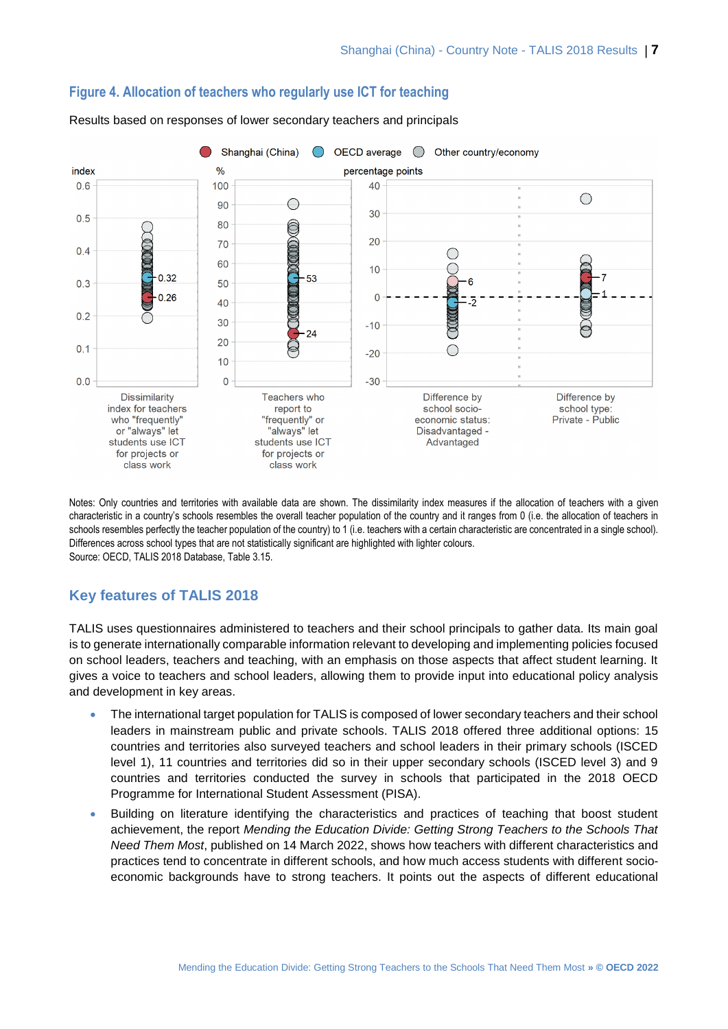

# **Figure 4. Allocation of teachers who regularly use ICT for teaching**

Results based on responses of lower secondary teachers and principals

Notes: Only countries and territories with available data are shown. The dissimilarity index measures if the allocation of teachers with a given characteristic in a country's schools resembles the overall teacher population of the country and it ranges from 0 (i.e. the allocation of teachers in schools resembles perfectly the teacher population of the country) to 1 (i.e. teachers with a certain characteristic are concentrated in a single school). Differences across school types that are not statistically significant are highlighted with lighter colours. Source: OECD, TALIS 2018 Database, Table 3.15.

# **Key features of TALIS 2018**

TALIS uses questionnaires administered to teachers and their school principals to gather data. Its main goal is to generate internationally comparable information relevant to developing and implementing policies focused on school leaders, teachers and teaching, with an emphasis on those aspects that affect student learning. It gives a voice to teachers and school leaders, allowing them to provide input into educational policy analysis and development in key areas.

- The international target population for TALIS is composed of lower secondary teachers and their school leaders in mainstream public and private schools. TALIS 2018 offered three additional options: 15 countries and territories also surveyed teachers and school leaders in their primary schools (ISCED level 1), 11 countries and territories did so in their upper secondary schools (ISCED level 3) and 9 countries and territories conducted the survey in schools that participated in the 2018 OECD Programme for International Student Assessment (PISA).
- Building on literature identifying the characteristics and practices of teaching that boost student achievement, the report *Mending the Education Divide: Getting Strong Teachers to the Schools That Need Them Most*, published on 14 March 2022, shows how teachers with different characteristics and practices tend to concentrate in different schools, and how much access students with different socioeconomic backgrounds have to strong teachers. It points out the aspects of different educational